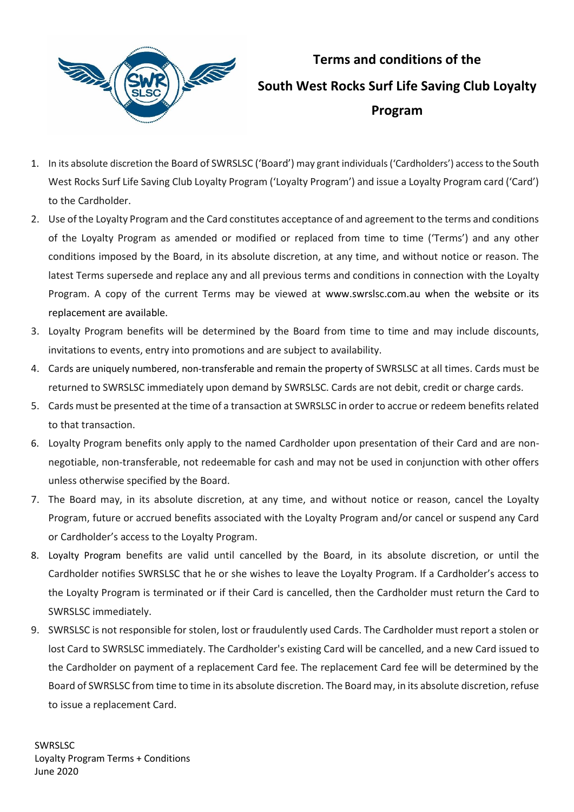

## **Terms and conditions of the South West Rocks Surf Life Saving Club Loyalty Program**

- 1. In its absolute discretion the Board of SWRSLSC ('Board') may grant individuals ('Cardholders') access to the South West Rocks Surf Life Saving Club Loyalty Program ('Loyalty Program') and issue a Loyalty Program card ('Card') to the Cardholder.
- 2. Use of the Loyalty Program and the Card constitutes acceptance of and agreement to the terms and conditions of the Loyalty Program as amended or modified or replaced from time to time ('Terms') and any other conditions imposed by the Board, in its absolute discretion, at any time, and without notice or reason. The latest Terms supersede and replace any and all previous terms and conditions in connection with the Loyalty Program. A copy of the current Terms may be viewed at [www.s](https://www.anacondastores.com/)wrslsc.com.au when the website or its replacement are available.
- 3. Loyalty Program benefits will be determined by the Board from time to time and may include discounts, invitations to events, entry into promotions and are subject to availability.
- 4. Cards are uniquely numbered, non-transferable and remain the property of SWRSLSC at all times. Cards must be returned to SWRSLSC immediately upon demand by SWRSLSC. Cards are not debit, credit or charge cards.
- 5. Cards must be presented at the time of a transaction at SWRSLSC in order to accrue or redeem benefits related to that transaction.
- 6. Loyalty Program benefits only apply to the named Cardholder upon presentation of their Card and are nonnegotiable, non-transferable, not redeemable for cash and may not be used in conjunction with other offers unless otherwise specified by the Board.
- 7. The Board may, in its absolute discretion, at any time, and without notice or reason, cancel the Loyalty Program, future or accrued benefits associated with the Loyalty Program and/or cancel or suspend any Card or Cardholder's access to the Loyalty Program.
- 8. Loyalty Program benefits are valid until cancelled by the Board, in its absolute discretion, or until the Cardholder notifies SWRSLSC that he or she wishes to leave the Loyalty Program. If a Cardholder's access to the Loyalty Program is terminated or if their Card is cancelled, then the Cardholder must return the Card to SWRSLSC immediately.
- 9. SWRSLSC is not responsible for stolen, lost or fraudulently used Cards. The Cardholder must report a stolen or lost Card to SWRSLSC immediately. The Cardholder's existing Card will be cancelled, and a new Card issued to the Cardholder on payment of a replacement Card fee. The replacement Card fee will be determined by the Board of SWRSLSC from time to time in its absolute discretion. The Board may, in its absolute discretion, refuse to issue a replacement Card.